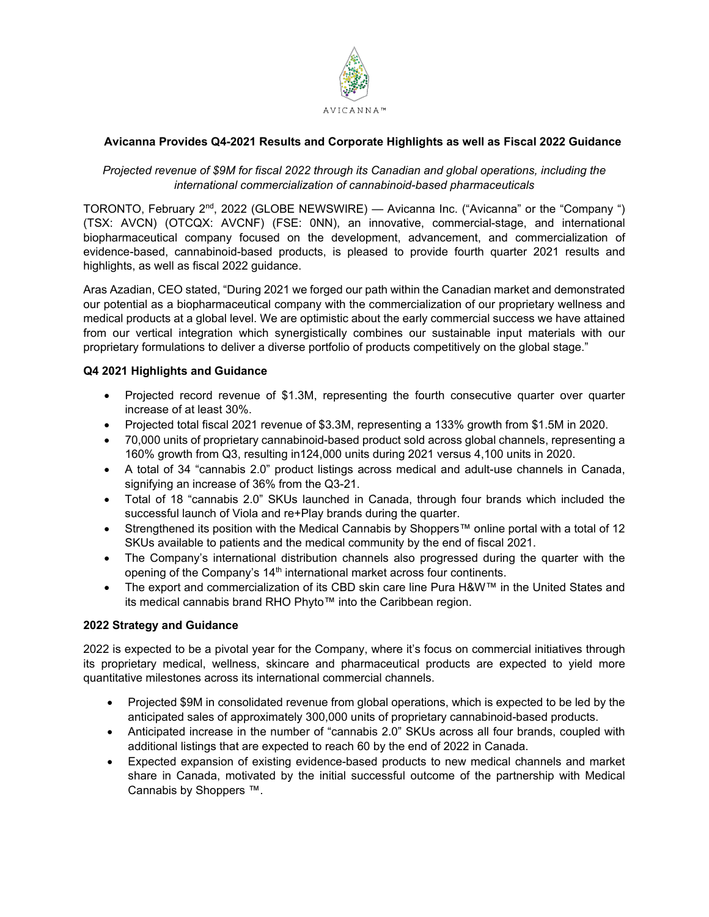

# **Avicanna Provides Q4-2021 Results and Corporate Highlights as well as Fiscal 2022 Guidance**

## *Projected revenue of \$9M for fiscal 2022 through its Canadian and global operations, including the international commercialization of cannabinoid-based pharmaceuticals*

TORONTO, February 2<sup>nd</sup>, 2022 (GLOBE NEWSWIRE) — Avicanna Inc. ("Avicanna" or the "Company ") (TSX: AVCN) (OTCQX: AVCNF) (FSE: 0NN), an innovative, commercial-stage, and international biopharmaceutical company focused on the development, advancement, and commercialization of evidence-based, cannabinoid-based products, is pleased to provide fourth quarter 2021 results and highlights, as well as fiscal 2022 guidance.

Aras Azadian, CEO stated, "During 2021 we forged our path within the Canadian market and demonstrated our potential as a biopharmaceutical company with the commercialization of our proprietary wellness and medical products at a global level. We are optimistic about the early commercial success we have attained from our vertical integration which synergistically combines our sustainable input materials with our proprietary formulations to deliver a diverse portfolio of products competitively on the global stage."

## **Q4 2021 Highlights and Guidance**

- Projected record revenue of \$1.3M, representing the fourth consecutive quarter over quarter increase of at least 30%.
- Projected total fiscal 2021 revenue of \$3.3M, representing a 133% growth from \$1.5M in 2020.
- 70,000 units of proprietary cannabinoid-based product sold across global channels, representing a 160% growth from Q3, resulting in124,000 units during 2021 versus 4,100 units in 2020.
- A total of 34 "cannabis 2.0" product listings across medical and adult-use channels in Canada, signifying an increase of 36% from the Q3-21.
- Total of 18 "cannabis 2.0" SKUs launched in Canada, through four brands which included the successful launch of Viola and re+Play brands during the quarter.
- Strengthened its position with the Medical Cannabis by Shoppers™ online portal with a total of 12 SKUs available to patients and the medical community by the end of fiscal 2021.
- The Company's international distribution channels also progressed during the quarter with the opening of the Company's 14<sup>th</sup> international market across four continents.
- The export and commercialization of its CBD skin care line Pura H&W™ in the United States and its medical cannabis brand RHO Phyto™ into the Caribbean region.

#### **2022 Strategy and Guidance**

2022 is expected to be a pivotal year for the Company, where it's focus on commercial initiatives through its proprietary medical, wellness, skincare and pharmaceutical products are expected to yield more quantitative milestones across its international commercial channels.

- Projected \$9M in consolidated revenue from global operations, which is expected to be led by the anticipated sales of approximately 300,000 units of proprietary cannabinoid-based products.
- Anticipated increase in the number of "cannabis 2.0" SKUs across all four brands, coupled with additional listings that are expected to reach 60 by the end of 2022 in Canada.
- Expected expansion of existing evidence-based products to new medical channels and market share in Canada, motivated by the initial successful outcome of the partnership with Medical Cannabis by Shoppers ™.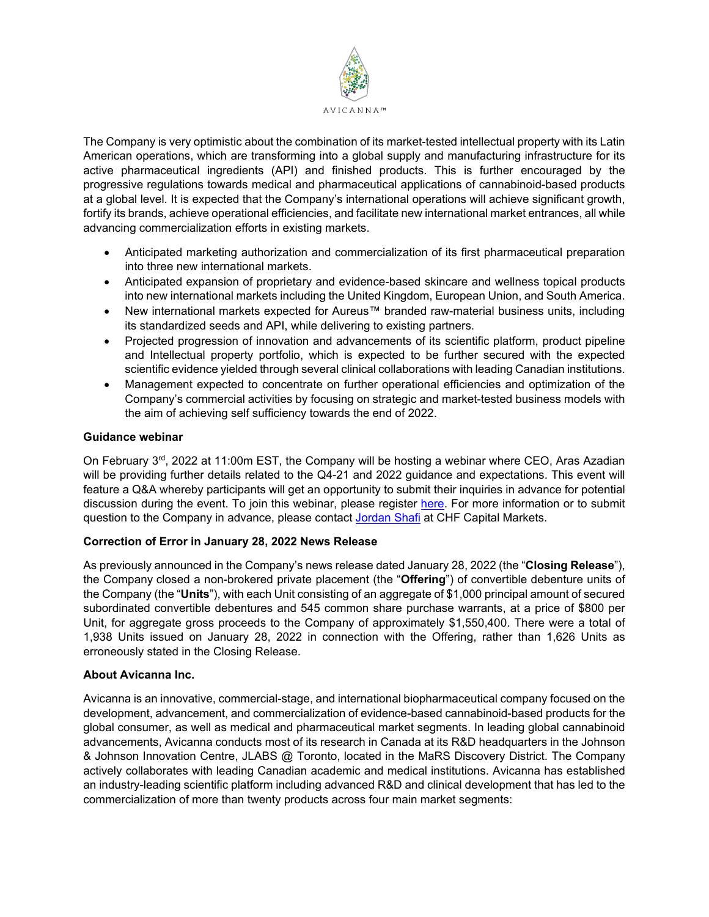

The Company is very optimistic about the combination of its market-tested intellectual property with its Latin American operations, which are transforming into a global supply and manufacturing infrastructure for its active pharmaceutical ingredients (API) and finished products. This is further encouraged by the progressive regulations towards medical and pharmaceutical applications of cannabinoid-based products at a global level. It is expected that the Company's international operations will achieve significant growth, fortify its brands, achieve operational efficiencies, and facilitate new international market entrances, all while advancing commercialization efforts in existing markets.

- Anticipated marketing authorization and commercialization of its first pharmaceutical preparation into three new international markets.
- Anticipated expansion of proprietary and evidence-based skincare and wellness topical products into new international markets including the United Kingdom, European Union, and South America.
- New international markets expected for Aureus™ branded raw-material business units, including its standardized seeds and API, while delivering to existing partners.
- Projected progression of innovation and advancements of its scientific platform, product pipeline and Intellectual property portfolio, which is expected to be further secured with the expected scientific evidence yielded through several clinical collaborations with leading Canadian institutions.
- Management expected to concentrate on further operational efficiencies and optimization of the Company's commercial activities by focusing on strategic and market-tested business models with the aim of achieving self sufficiency towards the end of 2022.

#### **Guidance webinar**

On February 3rd, 2022 at 11:00m EST, the Company will be hosting a webinar where CEO, Aras Azadian will be providing further details related to the Q4-21 and 2022 guidance and expectations. This event will feature a Q&A whereby participants will get an opportunity to submit their inquiries in advance for potential discussion during the event. To join this webinar, please register [here.](https://onlinexperiences.com/scripts/Server.nxp?LASCmd=AI:4;F:QS!10100&ShowUUID=E5661023-5C6B-4B52-8A72-B6F85793C7B0&LangLocaleID=1033) For more information or to submit question to the Company in advance, please contact [Jordan Shafi](mailto:jordan@chfir.com) at CHF Capital Markets.

## **Correction of Error in January 28, 2022 News Release**

As previously announced in the Company's news release dated January 28, 2022 (the "**Closing Release**"), the Company closed a non-brokered private placement (the "**Offering**") of convertible debenture units of the Company (the "**Units**"), with each Unit consisting of an aggregate of \$1,000 principal amount of secured subordinated convertible debentures and 545 common share purchase warrants, at a price of \$800 per Unit, for aggregate gross proceeds to the Company of approximately \$1,550,400. There were a total of 1,938 Units issued on January 28, 2022 in connection with the Offering, rather than 1,626 Units as erroneously stated in the Closing Release.

## **About Avicanna Inc.**

Avicanna is an innovative, commercial-stage, and international biopharmaceutical company focused on the development, advancement, and commercialization of evidence-based cannabinoid-based products for the global consumer, as well as medical and pharmaceutical market segments. In leading global cannabinoid advancements, Avicanna conducts most of its research in Canada at its R&D headquarters in the Johnson & Johnson Innovation Centre, JLABS @ Toronto, located in the MaRS Discovery District. The Company actively collaborates with leading Canadian academic and medical institutions. Avicanna has established an industry-leading scientific platform including advanced R&D and clinical development that has led to the commercialization of more than twenty products across four main market segments: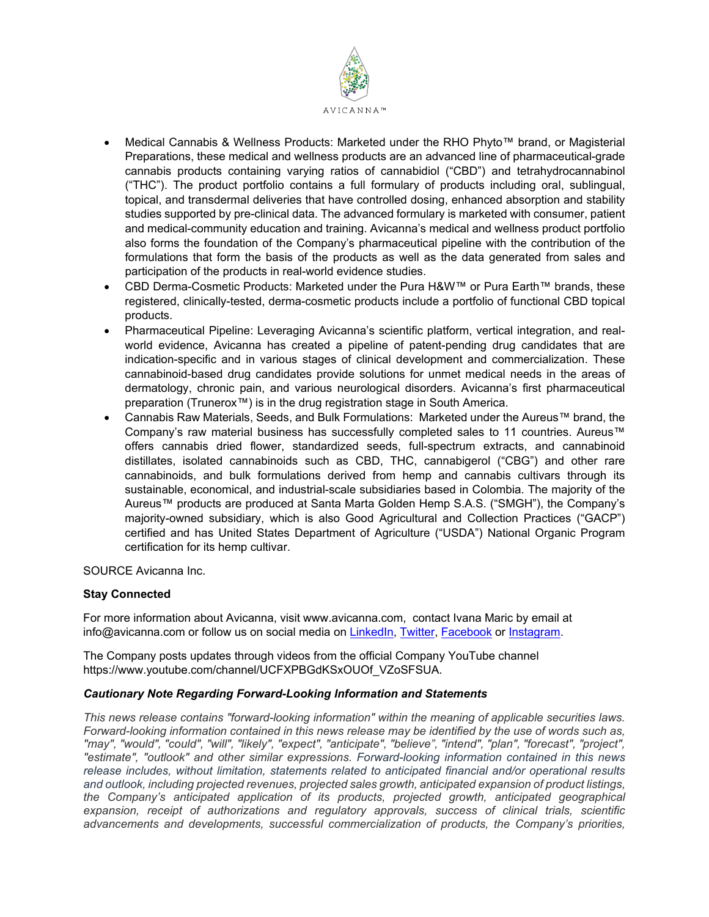

- Medical Cannabis & Wellness Products: Marketed under the RHO Phyto™ brand, or Magisterial Preparations, these medical and wellness products are an advanced line of pharmaceutical-grade cannabis products containing varying ratios of cannabidiol ("CBD") and tetrahydrocannabinol ("THC"). The product portfolio contains a full formulary of products including oral, sublingual, topical, and transdermal deliveries that have controlled dosing, enhanced absorption and stability studies supported by pre-clinical data. The advanced formulary is marketed with consumer, patient and medical-community education and training. Avicanna's medical and wellness product portfolio also forms the foundation of the Company's pharmaceutical pipeline with the contribution of the formulations that form the basis of the products as well as the data generated from sales and participation of the products in real-world evidence studies.
- CBD Derma-Cosmetic Products: Marketed under the Pura H&W™ or Pura Earth™ brands, these registered, clinically-tested, derma-cosmetic products include a portfolio of functional CBD topical products.
- Pharmaceutical Pipeline: Leveraging Avicanna's scientific platform, vertical integration, and realworld evidence, Avicanna has created a pipeline of patent-pending drug candidates that are indication-specific and in various stages of clinical development and commercialization. These cannabinoid-based drug candidates provide solutions for unmet medical needs in the areas of dermatology, chronic pain, and various neurological disorders. Avicanna's first pharmaceutical preparation (Trunerox™) is in the drug registration stage in South America.
- Cannabis Raw Materials, Seeds, and Bulk Formulations: Marketed under the Aureus™ brand, the Company's raw material business has successfully completed sales to 11 countries. Aureus™ offers cannabis dried flower, standardized seeds, full-spectrum extracts, and cannabinoid distillates, isolated cannabinoids such as CBD, THC, cannabigerol ("CBG") and other rare cannabinoids, and bulk formulations derived from hemp and cannabis cultivars through its sustainable, economical, and industrial-scale subsidiaries based in Colombia. The majority of the Aureus™ products are produced at Santa Marta Golden Hemp S.A.S. ("SMGH"), the Company's majority-owned subsidiary, which is also Good Agricultural and Collection Practices ("GACP") certified and has United States Department of Agriculture ("USDA") National Organic Program certification for its hemp cultivar.

SOURCE Avicanna Inc.

## **Stay Connected**

For more information about Avicanna, visit [www.avicanna.com,](http://www.avicanna.com/) contact Ivana Maric by email at [info@avicanna.com](mailto:info@avicanna.com) or follow us on social media on [LinkedIn,](https://www.linkedin.com/company/avicanna/mycompany/?viewAsMember=true) [Twitter,](https://twitter.com/AvicannaInc) [Facebook](https://www.facebook.com/avicannainc) or [Instagram.](https://www.instagram.com/avicannainc/)

The Company posts updates through videos from the official Company YouTube channel [https://www.youtube.com/channel/UCFXPBGdKSxOUOf\\_VZoSFSUA.](https://www.youtube.com/channel/UCFXPBGdKSxOUOf_VZoSFSUA)

#### *Cautionary Note Regarding Forward-Looking Information and Statements*

*This news release contains "forward-looking information" within the meaning of applicable securities laws. Forward-looking information contained in this news release may be identified by the use of words such as, "may", "would", "could", "will", "likely", "expect", "anticipate", "believe", "intend", "plan", "forecast", "project", "estimate", "outlook" and other similar expressions. Forward-looking information contained in this news release includes, without limitation, statements related to anticipated financial and/or operational results and outlook, including projected revenues, projected sales growth, anticipated expansion of product listings, the Company's anticipated application of its products, projected growth, anticipated geographical expansion, receipt of authorizations and regulatory approvals, success of clinical trials, scientific advancements and developments, successful commercialization of products, the Company's priorities,*